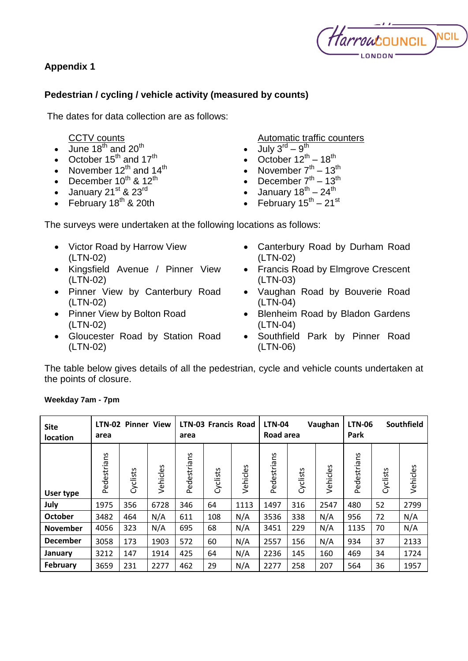## **Appendix 1**



## **Pedestrian / cycling / vehicle activity (measured by counts)**

The dates for data collection are as follows:

CCTV counts

- $\bullet$  June 18<sup>th</sup> and 20<sup>th</sup>
- October  $15^{th}$  and  $17^{th}$
- November  $12^{th}$  and  $14^{th}$
- December  $10^{th}$  &  $12^{th}$
- January 21<sup>st</sup> & 23<sup>rd</sup>
- February  $18^{th}$  & 20th

Automatic traffic counters

- $\bullet$  July 3<sup>rd</sup> 9<sup>th</sup>
- October  $12^{th} 18^{th}$
- November  $7<sup>th</sup> 13<sup>th</sup>$
- December  $7<sup>th</sup> 13<sup>th</sup>$
- January 18<sup>th</sup> 24<sup>th</sup>
- February  $15^{\text{th}} 21^{\text{st}}$

The surveys were undertaken at the following locations as follows:

- Victor Road by Harrow View (LTN-02)
- Kingsfield Avenue / Pinner View (LTN-02)
- Pinner View by Canterbury Road (LTN-02)
- Pinner View by Bolton Road (LTN-02)
- Gloucester Road by Station Road (LTN-02)
- Canterbury Road by Durham Road (LTN-02)
- Francis Road by Elmgrove Crescent (LTN-03)
- Vaughan Road by Bouverie Road (LTN-04)
- Blenheim Road by Bladon Gardens (LTN-04)
- Southfield Park by Pinner Road (LTN-06)

The table below gives details of all the pedestrian, cycle and vehicle counts undertaken at the points of closure.

| <b>Site</b><br>location | <b>LTN-02 Pinner View</b><br>area |          |          | <b>LTN-03 Francis Road</b><br>area |          |          | <b>LTN-04</b><br>Vaughan<br>Road area |          |          | Southfield<br><b>LTN-06</b><br>Park |          |          |
|-------------------------|-----------------------------------|----------|----------|------------------------------------|----------|----------|---------------------------------------|----------|----------|-------------------------------------|----------|----------|
| User type               | Pedestrians                       | Cyclists | Vehicles | Pedestrians                        | Cyclists | Vehicles | Pedestrians                           | Cyclists | Vehicles | Pedestrians                         | Cyclists | Vehicles |
| July                    | 1975                              | 356      | 6728     | 346                                | 64       | 1113     | 1497                                  | 316      | 2547     | 480                                 | 52       | 2799     |
| <b>October</b>          | 3482                              | 464      | N/A      | 611                                | 108      | N/A      | 3536                                  | 338      | N/A      | 956                                 | 72       | N/A      |
| <b>November</b>         | 4056                              | 323      | N/A      | 695                                | 68       | N/A      | 3451                                  | 229      | N/A      | 1135                                | 70       | N/A      |
| <b>December</b>         | 3058                              | 173      | 1903     | 572                                | 60       | N/A      | 2557                                  | 156      | N/A      | 934                                 | 37       | 2133     |
| January                 | 3212                              | 147      | 1914     | 425                                | 64       | N/A      | 2236                                  | 145      | 160      | 469                                 | 34       | 1724     |
| February                | 3659                              | 231      | 2277     | 462                                | 29       | N/A      | 2277                                  | 258      | 207      | 564                                 | 36       | 1957     |

## **Weekday 7am - 7pm**